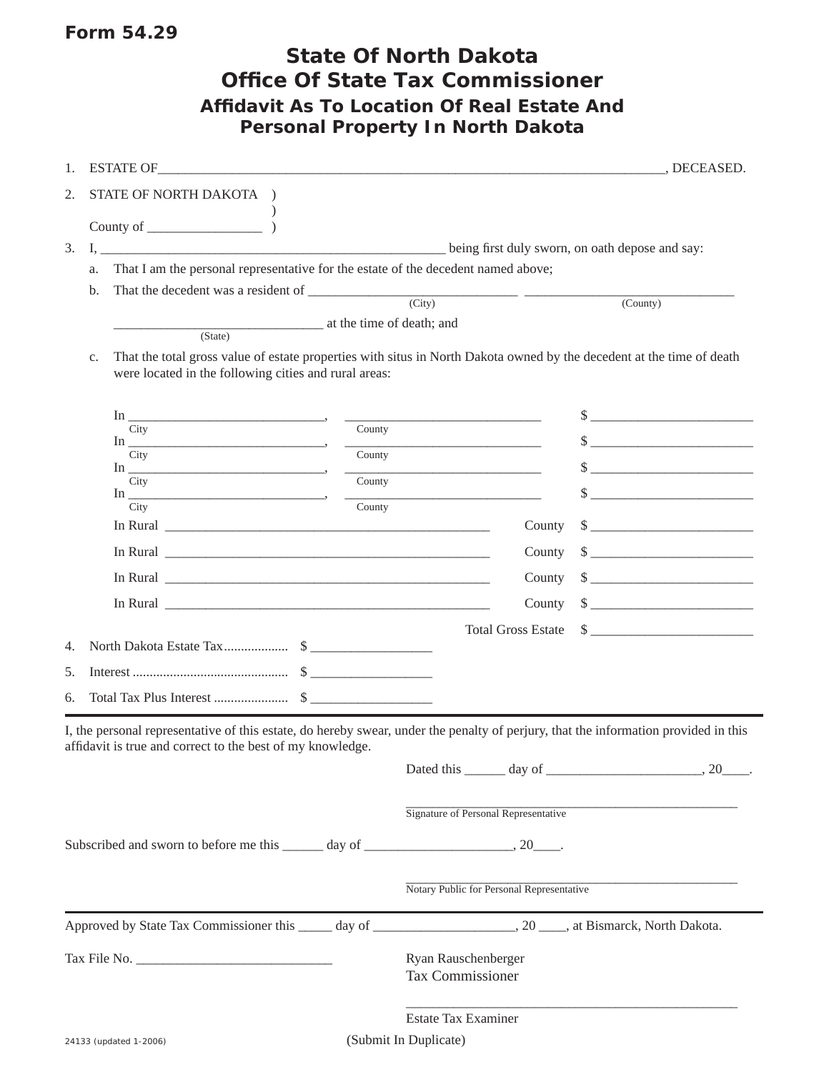## Form 54.29

|                                                                                                                                                                                                                                      |        | <b>State Of North Dakota</b><br><b>Office Of State Tax Commissioner</b> |                                                                 |                                                                                                                                                                                                                                                                                                                                                                                                                                                                                                                                                                                                    |
|--------------------------------------------------------------------------------------------------------------------------------------------------------------------------------------------------------------------------------------|--------|-------------------------------------------------------------------------|-----------------------------------------------------------------|----------------------------------------------------------------------------------------------------------------------------------------------------------------------------------------------------------------------------------------------------------------------------------------------------------------------------------------------------------------------------------------------------------------------------------------------------------------------------------------------------------------------------------------------------------------------------------------------------|
| <b>Affidavit As To Location Of Real Estate And</b>                                                                                                                                                                                   |        | <b>Personal Property In North Dakota</b>                                |                                                                 |                                                                                                                                                                                                                                                                                                                                                                                                                                                                                                                                                                                                    |
| ESTATE OF THE RESERVE OF THE RESERVE OF THE RESERVE OF THE RESERVE OF THE RESERVE OF THE RESERVE OF THE RESERVE OF THE RESERVE OF THE RESERVE OF THE RESERVE OF THE RESERVE OF THE RESERVE OF THE RESERVE OF THE RESERVE OF TH<br>1. |        |                                                                         |                                                                 | , DECEASED.                                                                                                                                                                                                                                                                                                                                                                                                                                                                                                                                                                                        |
| STATE OF NORTH DAKOTA )<br>2.                                                                                                                                                                                                        |        |                                                                         |                                                                 |                                                                                                                                                                                                                                                                                                                                                                                                                                                                                                                                                                                                    |
| County of $\qquad \qquad$ )                                                                                                                                                                                                          |        |                                                                         |                                                                 |                                                                                                                                                                                                                                                                                                                                                                                                                                                                                                                                                                                                    |
| 3.                                                                                                                                                                                                                                   |        |                                                                         |                                                                 |                                                                                                                                                                                                                                                                                                                                                                                                                                                                                                                                                                                                    |
| That I am the personal representative for the estate of the decedent named above;<br>a.                                                                                                                                              |        |                                                                         |                                                                 |                                                                                                                                                                                                                                                                                                                                                                                                                                                                                                                                                                                                    |
| That the decedent was a resident of $\frac{City}{City}$<br>b.                                                                                                                                                                        |        |                                                                         |                                                                 | $\overline{(Country)}$                                                                                                                                                                                                                                                                                                                                                                                                                                                                                                                                                                             |
| at the time of death; and                                                                                                                                                                                                            |        |                                                                         |                                                                 |                                                                                                                                                                                                                                                                                                                                                                                                                                                                                                                                                                                                    |
| (State)                                                                                                                                                                                                                              |        |                                                                         |                                                                 |                                                                                                                                                                                                                                                                                                                                                                                                                                                                                                                                                                                                    |
| That the total gross value of estate properties with situs in North Dakota owned by the decedent at the time of death<br>c.<br>were located in the following cities and rural areas:                                                 |        |                                                                         |                                                                 |                                                                                                                                                                                                                                                                                                                                                                                                                                                                                                                                                                                                    |
|                                                                                                                                                                                                                                      |        |                                                                         |                                                                 |                                                                                                                                                                                                                                                                                                                                                                                                                                                                                                                                                                                                    |
|                                                                                                                                                                                                                                      |        |                                                                         |                                                                 | $\frac{1}{2}$                                                                                                                                                                                                                                                                                                                                                                                                                                                                                                                                                                                      |
| City<br>In $\overline{\phantom{a}}$                                                                                                                                                                                                  | County |                                                                         |                                                                 |                                                                                                                                                                                                                                                                                                                                                                                                                                                                                                                                                                                                    |
| City                                                                                                                                                                                                                                 | County |                                                                         |                                                                 | $\qquad \qquad \bullet$                                                                                                                                                                                                                                                                                                                                                                                                                                                                                                                                                                            |
| City                                                                                                                                                                                                                                 |        | $\overline{\text{Country}}$                                             |                                                                 | $\frac{1}{2}$                                                                                                                                                                                                                                                                                                                                                                                                                                                                                                                                                                                      |
| $In$ <sub>—</sub><br>City                                                                                                                                                                                                            |        | $\overline{\text{Country}}$                                             |                                                                 |                                                                                                                                                                                                                                                                                                                                                                                                                                                                                                                                                                                                    |
|                                                                                                                                                                                                                                      |        |                                                                         | County                                                          |                                                                                                                                                                                                                                                                                                                                                                                                                                                                                                                                                                                                    |
|                                                                                                                                                                                                                                      |        |                                                                         | County                                                          |                                                                                                                                                                                                                                                                                                                                                                                                                                                                                                                                                                                                    |
|                                                                                                                                                                                                                                      |        |                                                                         | County                                                          | $\frac{1}{2}$ $\frac{1}{2}$ $\frac{1}{2}$ $\frac{1}{2}$ $\frac{1}{2}$ $\frac{1}{2}$ $\frac{1}{2}$ $\frac{1}{2}$ $\frac{1}{2}$ $\frac{1}{2}$ $\frac{1}{2}$ $\frac{1}{2}$ $\frac{1}{2}$ $\frac{1}{2}$ $\frac{1}{2}$ $\frac{1}{2}$ $\frac{1}{2}$ $\frac{1}{2}$ $\frac{1}{2}$ $\frac{1}{2}$ $\frac{1}{2}$ $\frac{1}{2}$                                                                                                                                                                                                                                                                                |
|                                                                                                                                                                                                                                      |        |                                                                         | County                                                          |                                                                                                                                                                                                                                                                                                                                                                                                                                                                                                                                                                                                    |
|                                                                                                                                                                                                                                      |        |                                                                         | <b>Total Gross Estate</b>                                       | $\begin{tabular}{c} $ \small{ \textbf{\textcolor{red}{\bf \textcolor{red}{\bf \textcolor{green}{\bf \textcolor{red}{\bf \textcolor{green}{\bf \textcolor{blue}{\bf \textcolor{blue}{\bf \textcolor{blue}{\bf \textcolor{blue}{\bf \textcolor{blue}{\bf \textcolor{blue}{\bf \textcolor{blue}{\bf \textcolor{blue}{\bf \textcolor{blue}{\bf \textcolor{blue}{\bf \textcolor{blue}{\bf \textcolor{blue}{\bf \textcolor{blue}{\bf \textcolor{blue}{\bf \textcolor{blue}{\bf \textcolor{blue}{\bf \textcolor{blue}{\bf \textcolor{blue}{\bf \textcolor{blue}{\bf \textcolor{blue}{\bf \textcolor{blue$ |
|                                                                                                                                                                                                                                      |        |                                                                         |                                                                 |                                                                                                                                                                                                                                                                                                                                                                                                                                                                                                                                                                                                    |
| 5.                                                                                                                                                                                                                                   |        |                                                                         |                                                                 |                                                                                                                                                                                                                                                                                                                                                                                                                                                                                                                                                                                                    |
| 6.                                                                                                                                                                                                                                   |        |                                                                         |                                                                 |                                                                                                                                                                                                                                                                                                                                                                                                                                                                                                                                                                                                    |
| I, the personal representative of this estate, do hereby swear, under the penalty of perjury, that the information provided in this                                                                                                  |        |                                                                         |                                                                 |                                                                                                                                                                                                                                                                                                                                                                                                                                                                                                                                                                                                    |
| affidavit is true and correct to the best of my knowledge.                                                                                                                                                                           |        |                                                                         |                                                                 |                                                                                                                                                                                                                                                                                                                                                                                                                                                                                                                                                                                                    |
|                                                                                                                                                                                                                                      |        |                                                                         |                                                                 | Dated this $\_\_\_\_$ day of $\_\_\_\_\_\_\_$ , 20 $\_\_\_\_\_$ .                                                                                                                                                                                                                                                                                                                                                                                                                                                                                                                                  |
|                                                                                                                                                                                                                                      |        |                                                                         | Signature of Personal Representative                            |                                                                                                                                                                                                                                                                                                                                                                                                                                                                                                                                                                                                    |
| Subscribed and sworn to before me this ______ day of ____________________________, 20______.                                                                                                                                         |        |                                                                         |                                                                 |                                                                                                                                                                                                                                                                                                                                                                                                                                                                                                                                                                                                    |
|                                                                                                                                                                                                                                      |        |                                                                         |                                                                 |                                                                                                                                                                                                                                                                                                                                                                                                                                                                                                                                                                                                    |
|                                                                                                                                                                                                                                      |        |                                                                         | Notary Public for Personal Representative                       |                                                                                                                                                                                                                                                                                                                                                                                                                                                                                                                                                                                                    |
|                                                                                                                                                                                                                                      |        |                                                                         |                                                                 |                                                                                                                                                                                                                                                                                                                                                                                                                                                                                                                                                                                                    |
|                                                                                                                                                                                                                                      |        |                                                                         | Ryan Rauschenberger                                             |                                                                                                                                                                                                                                                                                                                                                                                                                                                                                                                                                                                                    |
|                                                                                                                                                                                                                                      |        | Tax Commissioner                                                        |                                                                 |                                                                                                                                                                                                                                                                                                                                                                                                                                                                                                                                                                                                    |
|                                                                                                                                                                                                                                      |        |                                                                         | $\mathbf{r}$ and $\mathbf{r}$ and $\mathbf{r}$ and $\mathbf{r}$ |                                                                                                                                                                                                                                                                                                                                                                                                                                                                                                                                                                                                    |

Estate Tax Examiner

(Submit In Duplicate)